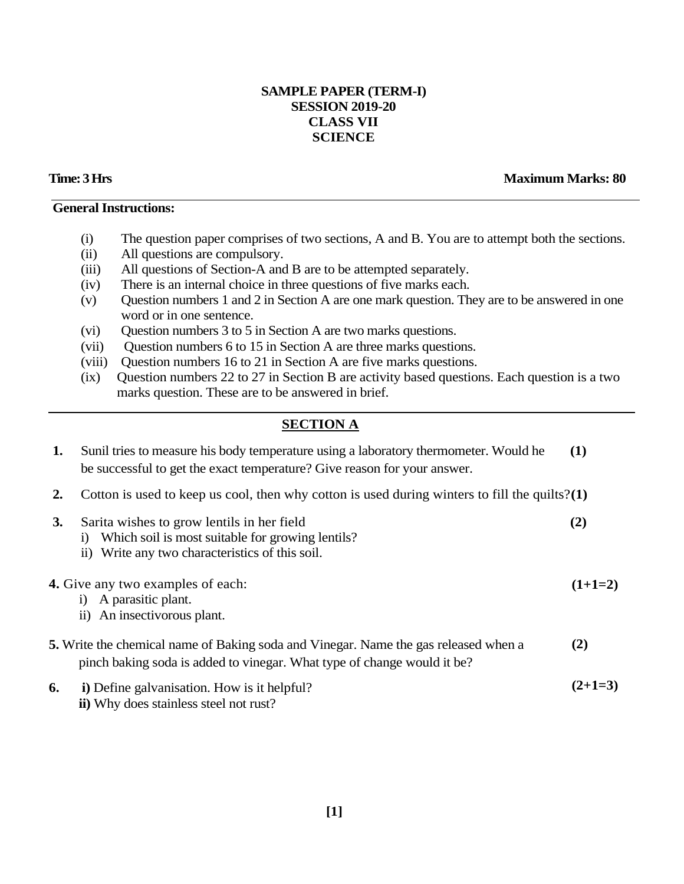### **SAMPLE PAPER (TERM-I) SESSION 2019-20 CLASS VII SCIENCE**

### **Time: 3 Hrs Maximum Marks: 80**

#### **General Instructions:**

- (i) The question paper comprises of two sections, A and B. You are to attempt both the sections.
- (ii) All questions are compulsory.
- (iii) All questions of Section-A and B are to be attempted separately.
- (iv) There is an internal choice in three questions of five marks each.
- (v) Question numbers 1 and 2 in Section A are one mark question. They are to be answered in one word or in one sentence.
- (vi) Question numbers 3 to 5 in Section A are two marks questions.
- (vii) Question numbers 6 to 15 in Section A are three marks questions.
- (viii) Question numbers 16 to 21 in Section A are five marks questions.
- (ix) Question numbers 22 to 27 in Section B are activity based questions. Each question is a two marks question. These are to be answered in brief.

## **SECTION A**

| 1. | Sunil tries to measure his body temperature using a laboratory thermometer. Would he<br>be successful to get the exact temperature? Give reason for your answer. | (1)       |  |
|----|------------------------------------------------------------------------------------------------------------------------------------------------------------------|-----------|--|
| 2. | Cotton is used to keep us cool, then why cotton is used during winters to fill the quilts? $(1)$                                                                 |           |  |
| 3. | Sarita wishes to grow lentils in her field<br>Which soil is most suitable for growing lentils?<br>ii) Write any two characteristics of this soil.                | (2)       |  |
|    | <b>4.</b> Give any two examples of each:<br>A parasitic plant.<br>$\bf{1)}$<br>ii) An insectivorous plant.                                                       | $(1+1=2)$ |  |
|    | 5. Write the chemical name of Baking soda and Vinegar. Name the gas released when a<br>pinch baking soda is added to vinegar. What type of change would it be?   | (2)       |  |
| 6. | i) Define galvanisation. How is it helpful?<br><b>ii</b> ) Why does stainless steel not rust?                                                                    | $(2+1=3)$ |  |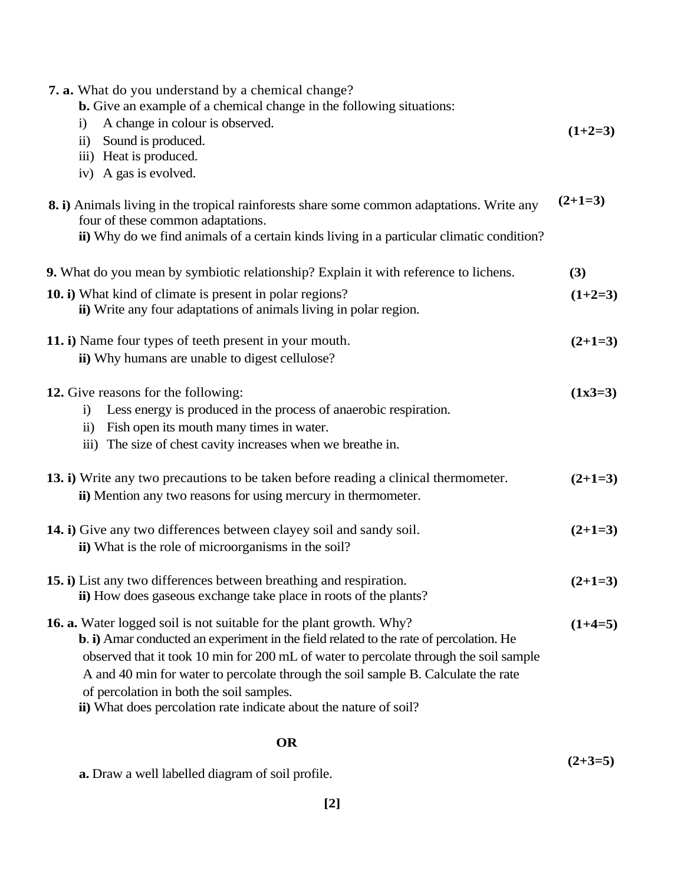| <b>7. a.</b> What do you understand by a chemical change?<br><b>b.</b> Give an example of a chemical change in the following situations:                                                                                                                                                                                                                                                                                                                            |           |
|---------------------------------------------------------------------------------------------------------------------------------------------------------------------------------------------------------------------------------------------------------------------------------------------------------------------------------------------------------------------------------------------------------------------------------------------------------------------|-----------|
| A change in colour is observed.<br>$\ddot{1}$<br>ii) Sound is produced.<br>iii) Heat is produced.                                                                                                                                                                                                                                                                                                                                                                   | $(1+2=3)$ |
| iv) A gas is evolved.                                                                                                                                                                                                                                                                                                                                                                                                                                               |           |
| 8. i) Animals living in the tropical rainforests share some common adaptations. Write any<br>four of these common adaptations.<br>ii) Why do we find animals of a certain kinds living in a particular climatic condition?                                                                                                                                                                                                                                          | $(2+1=3)$ |
| 9. What do you mean by symbiotic relationship? Explain it with reference to lichens.                                                                                                                                                                                                                                                                                                                                                                                | (3)       |
| 10. i) What kind of climate is present in polar regions?<br>ii) Write any four adaptations of animals living in polar region.                                                                                                                                                                                                                                                                                                                                       | $(1+2=3)$ |
| 11. i) Name four types of teeth present in your mouth.<br>ii) Why humans are unable to digest cellulose?                                                                                                                                                                                                                                                                                                                                                            | $(2+1=3)$ |
| 12. Give reasons for the following:<br>Less energy is produced in the process of anaerobic respiration.<br>$\ddot{1}$<br>ii) Fish open its mouth many times in water.<br>iii) The size of chest cavity increases when we breathe in.                                                                                                                                                                                                                                | $(1x3=3)$ |
| 13. i) Write any two precautions to be taken before reading a clinical thermometer.<br>ii) Mention any two reasons for using mercury in thermometer.                                                                                                                                                                                                                                                                                                                | $(2+1=3)$ |
| 14. i) Give any two differences between clayey soil and sandy soil.<br>ii) What is the role of microorganisms in the soil?                                                                                                                                                                                                                                                                                                                                          | $(2+1=3)$ |
| 15. i) List any two differences between breathing and respiration.<br>ii) How does gaseous exchange take place in roots of the plants?                                                                                                                                                                                                                                                                                                                              | $(2+1=3)$ |
| <b>16. a.</b> Water logged soil is not suitable for the plant growth. Why?<br>b. i) Amar conducted an experiment in the field related to the rate of percolation. He<br>observed that it took 10 min for 200 mL of water to percolate through the soil sample<br>A and 40 min for water to percolate through the soil sample B. Calculate the rate<br>of percolation in both the soil samples.<br>ii) What does percolation rate indicate about the nature of soil? | $(1+4=5)$ |

# **OR**

|                                                         | $(2+3=5)$ |
|---------------------------------------------------------|-----------|
| <b>a.</b> Draw a well labelled diagram of soil profile. |           |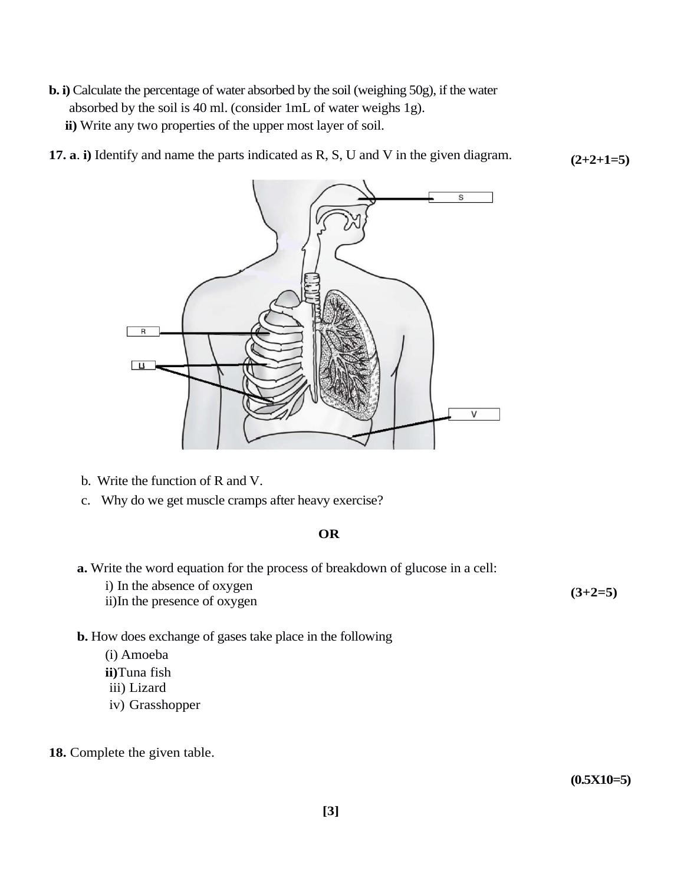- **b. i)** Calculate the percentage of water absorbed by the soil (weighing 50g), if the water absorbed by the soil is 40 ml. (consider 1mL of water weighs 1g). **ii)** Write any two properties of the upper most layer of soil.
- **(2+2+1=5) 17. a**. **i)** Identify and name the parts indicated as R, S, U and V in the given diagram.



- b. Write the function of R and V.
- c. Why do we get muscle cramps after heavy exercise?

#### **OR**

- **a.** Write the word equation for the process of breakdown of glucose in a cell:
	- i) In the absence of oxygen
	- ii)In the presence of oxygen

#### **b.** How does exchange of gases take place in the following

- (i) Amoeba
- **ii)**Tuna fish
- iii) Lizard
- iv) Grasshopper
- 18. Complete the given table.

**(0.5X10=5)**

**(3+2=5)**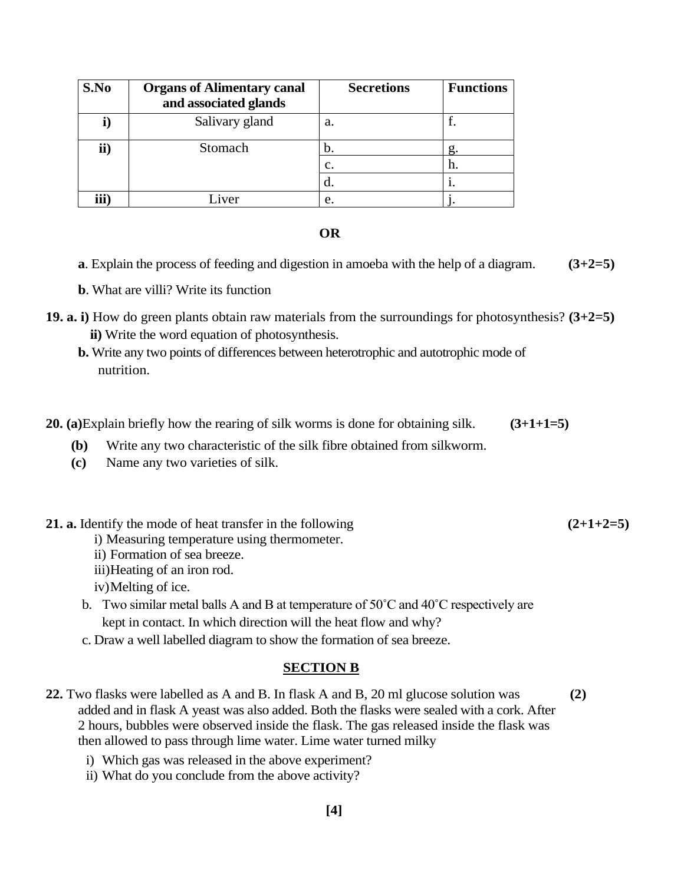| S.No | <b>Organs of Alimentary canal</b><br>and associated glands | <b>Secretions</b> | <b>Functions</b> |
|------|------------------------------------------------------------|-------------------|------------------|
| l)   | Salivary gland                                             | a.                |                  |
| ii)  | Stomach                                                    | D.                | g.               |
|      |                                                            | c.                | h.               |
|      |                                                            | α.                |                  |
| iii) | iver                                                       | e.                |                  |

#### **OR**

**a**. Explain the process of feeding and digestion in amoeba with the help of a diagram. **(3+2=5)**

**b**. What are villi? Write its function

- **19. a. i)** How do green plants obtain raw materials from the surroundings for photosynthesis? **(3+2=5) ii)** Write the word equation of photosynthesis.
	- **b.** Write any two points of differences between heterotrophic and autotrophic mode of nutrition.
- **20. (a)**Explain briefly how the rearing of silk worms is done for obtaining silk. **(3+1+1=5)**
	- **(b)** Write any two characteristic of the silk fibre obtained from silkworm.
	- **(c)** Name any two varieties of silk.

#### **21. a.** Identify the mode of heat transfer in the following **(2+1+2=5)**

- i) Measuring temperature using thermometer.
- ii) Formation of sea breeze.
- iii)Heating of an iron rod.
- iv)Melting of ice.
- b. Two similar metal balls A and B at temperature of  $50^{\circ}$ C and  $40^{\circ}$ C respectively are kept in contact. In which direction will the heat flow and why?
- c. Draw a well labelled diagram to show the formation of sea breeze.

#### **SECTION B**

- **22.** Two flasks were labelled as A and B. In flask A and B, 20 ml glucose solution was **(2)** added and in flask A yeast was also added. Both the flasks were sealed with a cork. After 2 hours, bubbles were observed inside the flask. The gas released inside the flask was then allowed to pass through lime water. Lime water turned milky
	- i) Which gas was released in the above experiment?
	- ii) What do you conclude from the above activity?